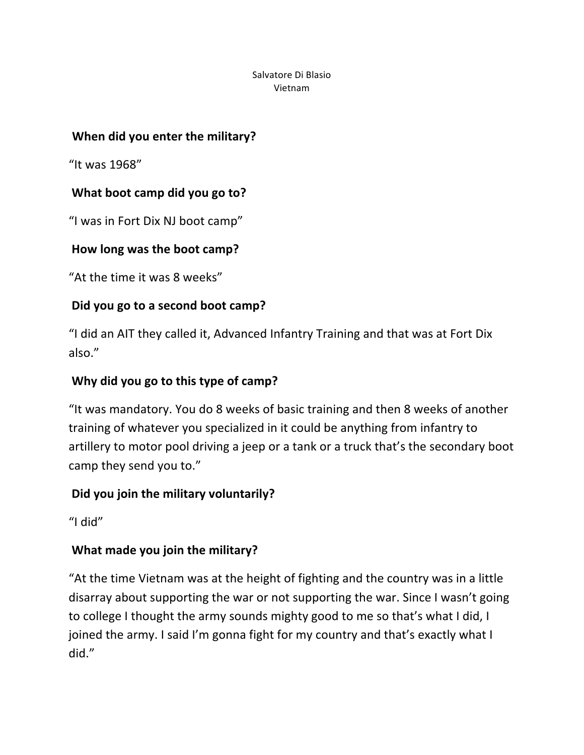## **When did you enter the military?**

"It was 1968"

## **What boot camp did you go to?**

"I was in Fort Dix NJ boot camp"

## How long was the boot camp?

"At the time it was 8 weeks"

## Did you go to a second boot camp?

"I did an AIT they called it, Advanced Infantry Training and that was at Fort Dix also."

### **Why did you go to this type of camp?**

"It was mandatory. You do 8 weeks of basic training and then 8 weeks of another training of whatever you specialized in it could be anything from infantry to artillery to motor pool driving a jeep or a tank or a truck that's the secondary boot camp they send you to."

#### Did you join the military voluntarily?

"I did"

## **What made you join the military?**

"At the time Vietnam was at the height of fighting and the country was in a little disarray about supporting the war or not supporting the war. Since I wasn't going to college I thought the army sounds mighty good to me so that's what I did, I joined the army. I said I'm gonna fight for my country and that's exactly what I did."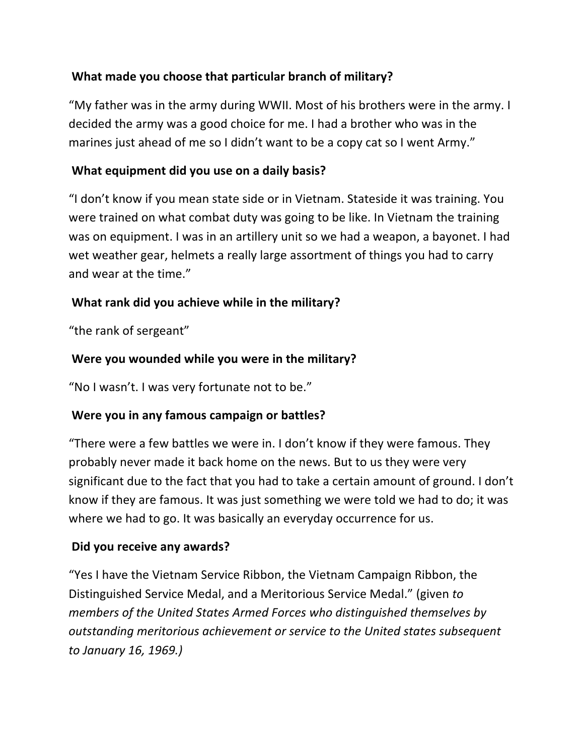## What made you choose that particular branch of military?

"My father was in the army during WWII. Most of his brothers were in the army. I decided the army was a good choice for me. I had a brother who was in the marines just ahead of me so I didn't want to be a copy cat so I went Army."

## **What equipment did you use on a daily basis?**

"I don't know if you mean state side or in Vietnam. Stateside it was training. You were trained on what combat duty was going to be like. In Vietnam the training was on equipment. I was in an artillery unit so we had a weapon, a bayonet. I had wet weather gear, helmets a really large assortment of things you had to carry and wear at the time."

## What rank did you achieve while in the military?

"the rank of sergeant"

## Were you wounded while you were in the military?

"No I wasn't. I was very fortunate not to be."

#### **Were you in any famous campaign or battles?**

"There were a few battles we were in. I don't know if they were famous. They probably never made it back home on the news. But to us they were very significant due to the fact that you had to take a certain amount of ground. I don't know if they are famous. It was just something we were told we had to do; it was where we had to go. It was basically an everyday occurrence for us.

#### **Did you receive any awards?**

"Yes I have the Vietnam Service Ribbon, the Vietnam Campaign Ribbon, the Distinguished Service Medal, and a Meritorious Service Medal." (given to *members of the United States Armed Forces who distinguished themselves by outstanding!meritorious!achievement!or!service!to!the!United!states!subsequent! to!January!16,!1969.)*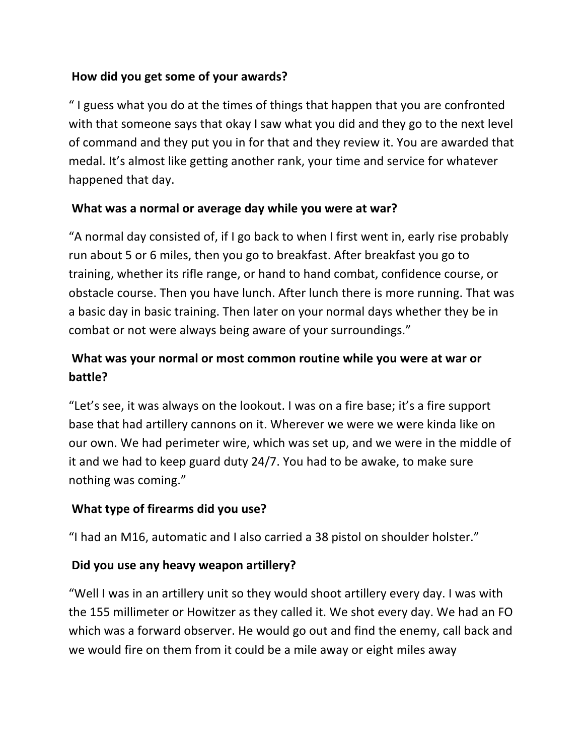### How did you get some of your awards?

"I guess what you do at the times of things that happen that you are confronted with that someone says that okay I saw what you did and they go to the next level of command and they put you in for that and they review it. You are awarded that medal. It's almost like getting another rank, your time and service for whatever happened that day.

#### **What was a normal or average day while you were at war?**

"A normal day consisted of, if I go back to when I first went in, early rise probably run about 5 or 6 miles, then you go to breakfast. After breakfast you go to training, whether its rifle range, or hand to hand combat, confidence course, or obstacle course. Then you have lunch. After lunch there is more running. That was a basic day in basic training. Then later on your normal days whether they be in combat or not were always being aware of your surroundings."

# What was your normal or most common routine while you were at war or **battle?**

"Let's see, it was always on the lookout. I was on a fire base; it's a fire support base that had artillery cannons on it. Wherever we were we were kinda like on our own. We had perimeter wire, which was set up, and we were in the middle of it and we had to keep guard duty 24/7. You had to be awake, to make sure nothing was coming."

#### **What type of firearms did you use?**

"I had an M16, automatic and I also carried a 38 pistol on shoulder holster."

#### **Did you use any heavy weapon artillery?**

"Well I was in an artillery unit so they would shoot artillery every day. I was with the 155 millimeter or Howitzer as they called it. We shot every day. We had an FO which was a forward observer. He would go out and find the enemy, call back and we would fire on them from it could be a mile away or eight miles away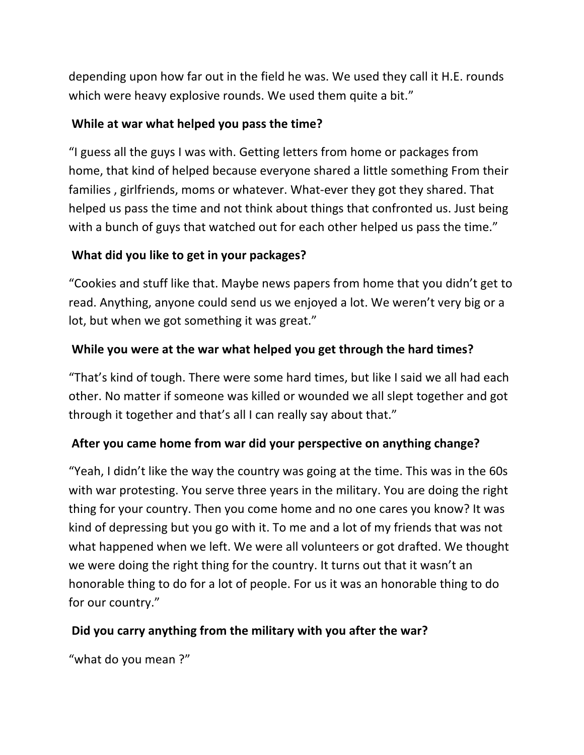depending upon how far out in the field he was. We used they call it H.E. rounds which were heavy explosive rounds. We used them quite a bit."

### While at war what helped you pass the time?

"I guess all the guys I was with. Getting letters from home or packages from home, that kind of helped because everyone shared a little something From their families, girlfriends, moms or whatever. What-ever they got they shared. That helped us pass the time and not think about things that confronted us. Just being with a bunch of guys that watched out for each other helped us pass the time."

## **What did you like to get in your packages?**

"Cookies and stuff like that. Maybe news papers from home that you didn't get to read. Anything, anyone could send us we enjoyed a lot. We weren't very big or a lot, but when we got something it was great."

## While you were at the war what helped you get through the hard times?

"That's kind of tough. There were some hard times, but like I said we all had each other. No matter if someone was killed or wounded we all slept together and got through it together and that's all I can really say about that."

#### After you came home from war did your perspective on anything change?

"Yeah, I didn't like the way the country was going at the time. This was in the 60s with war protesting. You serve three years in the military. You are doing the right thing for your country. Then you come home and no one cares you know? It was kind of depressing but you go with it. To me and a lot of my friends that was not what happened when we left. We were all volunteers or got drafted. We thought we were doing the right thing for the country. It turns out that it wasn't an honorable thing to do for a lot of people. For us it was an honorable thing to do for our country."

#### Did you carry anything from the military with you after the war?

"what do you mean?"